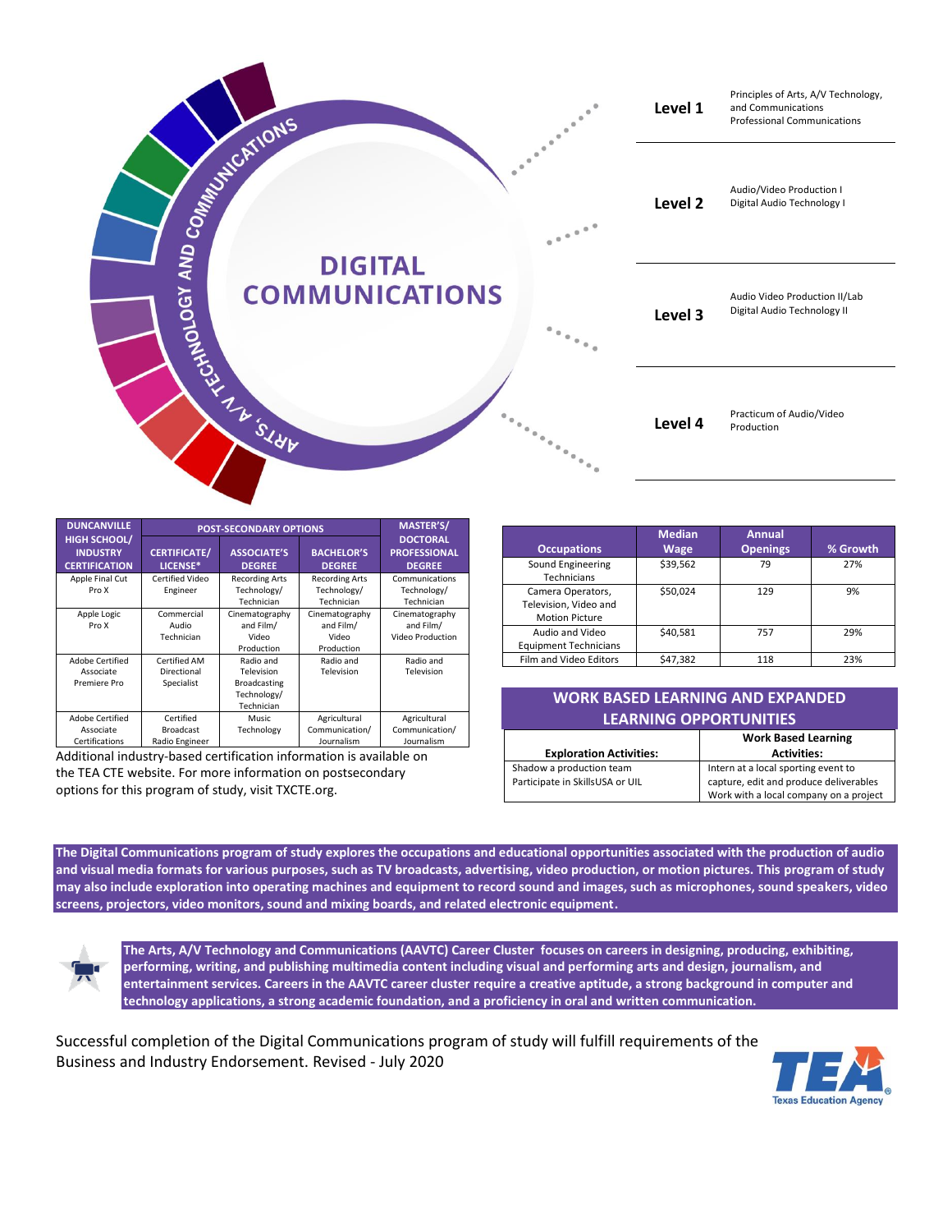

| <b>DUNCANVILLE</b>                                             | <b>POST-SECONDARY OPTIONS</b>                   |                                                                             |                                                    | <b>MASTER'S/</b>                                        |
|----------------------------------------------------------------|-------------------------------------------------|-----------------------------------------------------------------------------|----------------------------------------------------|---------------------------------------------------------|
| <b>HIGH SCHOOL/</b><br><b>INDUSTRY</b><br><b>CERTIFICATION</b> | <b>CERTIFICATE/</b><br>LICENSE*                 | <b>ASSOCIATE'S</b><br><b>DEGREE</b>                                         | <b>BACHELOR'S</b><br><b>DEGREE</b>                 | <b>DOCTORAL</b><br><b>PROFESSIONAL</b><br><b>DEGREE</b> |
| Apple Final Cut<br>Pro X                                       | Certified Video<br>Engineer                     | <b>Recording Arts</b><br>Technology/<br>Technician                          | <b>Recording Arts</b><br>Technology/<br>Technician | Communications<br>Technology/<br>Technician             |
| Apple Logic<br>Pro X                                           | Commercial<br>Audio<br>Technician               | Cinematography<br>and Film/<br>Video<br>Production                          | Cinematography<br>and Film/<br>Video<br>Production | Cinematography<br>and Film/<br>Video Production         |
| <b>Adobe Certified</b><br>Associate<br>Premiere Pro            | Certified AM<br>Directional<br>Specialist       | Radio and<br>Television<br><b>Broadcasting</b><br>Technology/<br>Technician | Radio and<br>Television                            | Radio and<br>Television                                 |
| <b>Adobe Certified</b><br>Associate<br>Certifications          | Certified<br><b>Broadcast</b><br>Radio Engineer | <b>Music</b><br>Technology                                                  | Agricultural<br>Communication/<br>Journalism       | Agricultural<br>Communication/<br>Journalism            |

Additional industry-based certification information is available on the TEA CTE website. For more information on postsecondary options for this program of study, visit TXCTE.org.

| <b>Occupations</b>                                                  | <b>Median</b><br><b>Wage</b> | <b>Annual</b><br><b>Openings</b> | % Growth |
|---------------------------------------------------------------------|------------------------------|----------------------------------|----------|
| Sound Engineering<br>Technicians                                    | \$39,562                     | 79                               | 27%      |
| Camera Operators,<br>Television, Video and<br><b>Motion Picture</b> | \$50,024                     | 129                              | 9%       |
| Audio and Video<br><b>Equipment Technicians</b>                     | \$40,581                     | 757                              | 29%      |
| Film and Video Editors                                              | \$47,382                     | 118                              | 23%      |

| <b>WORK BASED LEARNING AND EXPANDED</b><br><b>LEARNING OPPORTUNITIES</b> |                                                                                                                         |  |  |  |
|--------------------------------------------------------------------------|-------------------------------------------------------------------------------------------------------------------------|--|--|--|
| <b>Exploration Activities:</b>                                           | <b>Work Based Learning</b><br><b>Activities:</b>                                                                        |  |  |  |
| Shadow a production team<br>Participate in SkillsUSA or UIL              | Intern at a local sporting event to<br>capture, edit and produce deliverables<br>Work with a local company on a project |  |  |  |

**The Digital Communications program of study explores the occupations and educational opportunities associated with the production of audio and visual media formats for various purposes, such as TV broadcasts, advertising, video production, or motion pictures. This program of study may also include exploration into operating machines and equipment to record sound and images, such as microphones, sound speakers, video screens, projectors, video monitors, sound and mixing boards, and related electronic equipment.**

**The Arts, A/V Technology and Communications (AAVTC) Career Cluster focuses on careers in designing, producing, exhibiting, performing, writing, and publishing multimedia content including visual and performing arts and design, journalism, and entertainment services. Careers in the AAVTC career cluster require a creative aptitude, a strong background in computer and technology applications, a strong academic foundation, and a proficiency in oral and written communication.**

Successful completion of the Digital Communications program of study will fulfill requirements of the Business and Industry Endorsement. Revised - July 2020